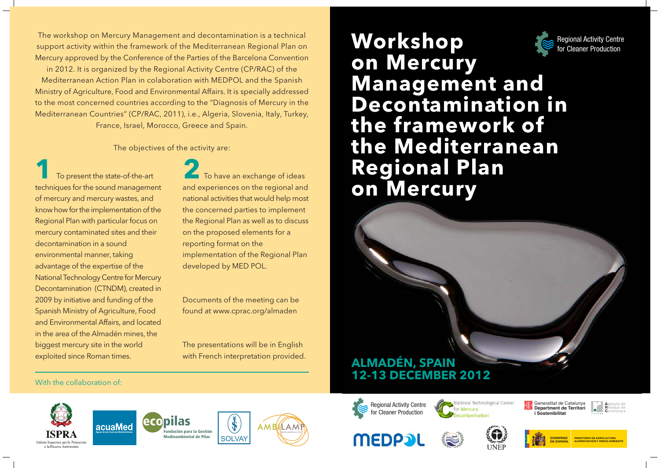The workshop on Mercury Management and decontamination is a technical support activity within the framework of the Mediterranean Regional Plan on Mercury approved by the Conference of the Parties of the Barcelona Convention

in 2012. It is organized by the Regional Activity Centre (CP/RAC) of the Mediterranean Action Plan in colaboration with MEDPOL and the Spanish Ministry of Agriculture, Food and Environmental Affairs. It is specially addressed to the most concerned countries according to the "Diagnosis of Mercury in the Mediterranean Countries" (CP/RAC, 2011), i.e., Algeria, Slovenia, Italy, Turkey, France, Israel, Morocco, Greece and Spain.

The objectives of the activity are:

To present the state-of-the-art techniques for the sound management of mercury and mercury wastes, and know how for the implementation of the Regional Plan with particular focus on mercury contaminated sites and their decontamination in a sound environmental manner, taking advantage of the expertise of the National Technology Centre for Mercury Decontamination (CTNDM), created in 2009 by initiative and funding of the Spanish Ministry of Agriculture, Food and Environmental Affairs, and located in the area of the Almadén mines, the biggest mercury site in the world exploited since Roman times.

To have an exchange of ideas and experiences on the regional and national activities that would help most the concerned parties to implement the Regional Plan as well as to discuss on the proposed elements for a reporting format on the implementation of the Regional Plan developed by MED POL.

Documents of the meeting can be found at www.cprac.org/almaden

The presentations will be in English with French interpretation provided.

# Workshop **Regional Activity Centre** for Cleaner Production on Mercury **Management and Decontamination in** the framework of the Mediterranean **Regional Plan** on Mercury

## **ALMADÉN, SPAIN 12-13 DECEMBER 2012**

#### With the collaboration of









ational Technological Center







i Sostenibilitat



Generalitat de Catalunya Department de Territori